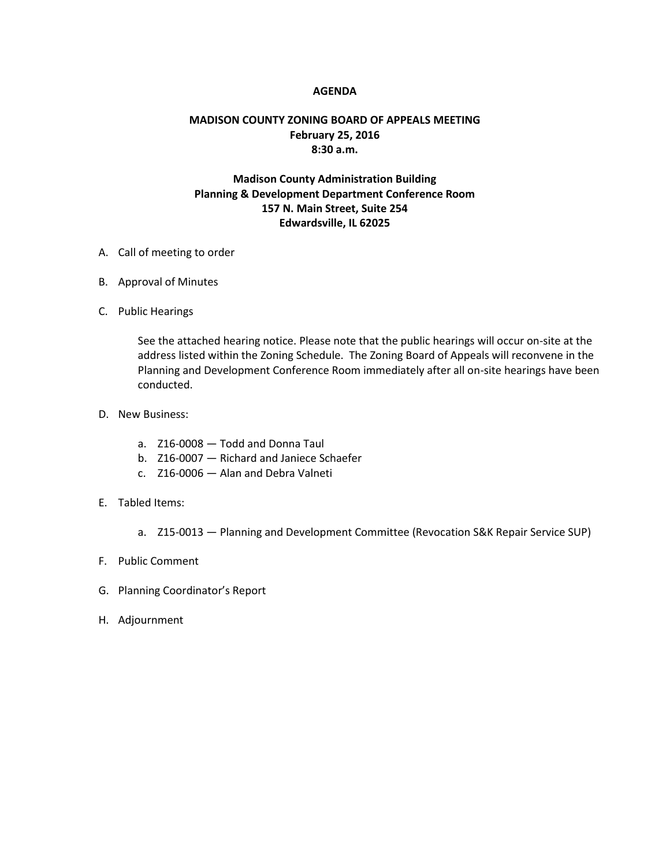## **AGENDA**

## **MADISON COUNTY ZONING BOARD OF APPEALS MEETING February 25, 2016 8:30 a.m.**

## **Madison County Administration Building Planning & Development Department Conference Room 157 N. Main Street, Suite 254 Edwardsville, IL 62025**

- A. Call of meeting to order
- B. Approval of Minutes
- C. Public Hearings

See the attached hearing notice. Please note that the public hearings will occur on-site at the address listed within the Zoning Schedule. The Zoning Board of Appeals will reconvene in the Planning and Development Conference Room immediately after all on-site hearings have been conducted.

- D. New Business:
	- a. Z16-0008 Todd and Donna Taul
	- b. Z16-0007 Richard and Janiece Schaefer
	- c. Z16-0006 Alan and Debra Valneti
- E. Tabled Items:
	- a. Z15-0013 Planning and Development Committee (Revocation S&K Repair Service SUP)
- F. Public Comment
- G. Planning Coordinator's Report
- H. Adjournment